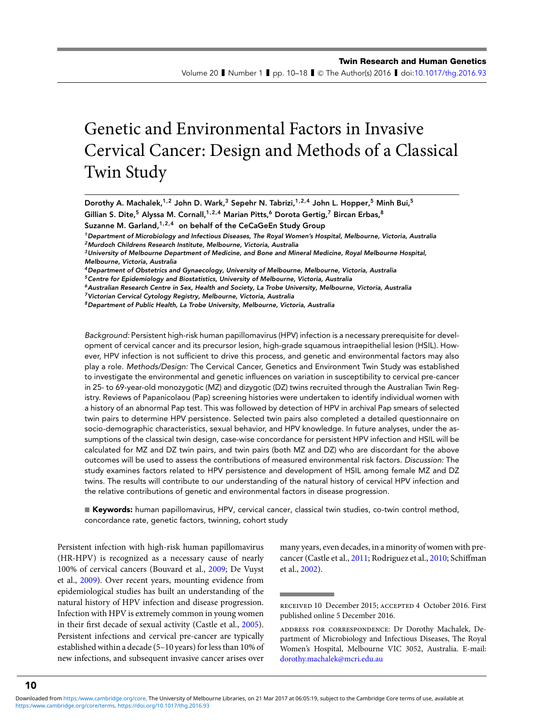# Genetic and Environmental Factors in Invasive Cervical Cancer: Design and Methods of a Classical Twin Study

**Dorothy A. Machalek,1,2 John D. Wark,3 Sepehr N. Tabrizi,1,2,4 John L. Hopper,<sup>5</sup> Minh Bui,<sup>5</sup> Gillian S. Dite,<sup>5</sup> Alyssa M. Cornall,1,2,4 Marian Pitts,<sup>6</sup> Dorota Gertig,7 Bircan Erbas,<sup>8</sup>**

**Suzanne M. Garland,1,2,4 on behalf of the CeCaGeEn Study Group**

*1Department of Microbiology and Infectious Diseases, The Royal Women's Hospital, Melbourne, Victoria, Australia 2Murdoch Childrens Research Institute, Melbourne, Victoria, Australia*

*4Department of Obstetrics and Gynaecology, University of Melbourne, Melbourne, Victoria, Australia*

*6Australian Research Centre in Sex, Health and Society, La Trobe University, Melbourne, Victoria, Australia*

Background: Persistent high-risk human papillomavirus (HPV) infection is a necessary prerequisite for development of cervical cancer and its precursor lesion, high-grade squamous intraepithelial lesion (HSIL). However, HPV infection is not sufficient to drive this process, and genetic and environmental factors may also play a role. Methods/Design: The Cervical Cancer, Genetics and Environment Twin Study was established to investigate the environmental and genetic influences on variation in susceptibility to cervical pre-cancer in 25- to 69-year-old monozygotic (MZ) and dizygotic (DZ) twins recruited through the Australian Twin Registry. Reviews of Papanicolaou (Pap) screening histories were undertaken to identify individual women with a history of an abnormal Pap test. This was followed by detection of HPV in archival Pap smears of selected twin pairs to determine HPV persistence. Selected twin pairs also completed a detailed questionnaire on socio-demographic characteristics, sexual behavior, and HPV knowledge. In future analyses, under the assumptions of the classical twin design, case-wise concordance for persistent HPV infection and HSIL will be calculated for MZ and DZ twin pairs, and twin pairs (both MZ and DZ) who are discordant for the above outcomes will be used to assess the contributions of measured environmental risk factors. Discussion: The study examines factors related to HPV persistence and development of HSIL among female MZ and DZ twins. The results will contribute to our understanding of the natural history of cervical HPV infection and the relative contributions of genetic and environmental factors in disease progression.

- **Keywords:** human papillomavirus, HPV, cervical cancer, classical twin studies, co-twin control method, concordance rate, genetic factors, twinning, cohort study

Persistent infection with high-risk human papillomavirus (HR-HPV) is recognized as a necessary cause of nearly 100% of cervical cancers (Bouvard et al., [2009;](#page-6-0) De Vuyst et al., [2009\)](#page-7-0). Over recent years, mounting evidence from epidemiological studies has built an understanding of the natural history of HPV infection and disease progression. Infection with HPV is extremely common in young women in their first decade of sexual activity (Castle et al., [2005\)](#page-6-0). Persistent infections and cervical pre-cancer are typically established within a decade (5–10 years) for less than 10% of new infections, and subsequent invasive cancer arises over many years, even decades, in a minority of women with precancer (Castle et al., [2011;](#page-6-0) Rodriguez et al., [2010;](#page-7-0) Schiffman et al., [2002\)](#page-7-0).

*<sup>3</sup>University of Melbourne Department of Medicine, and Bone and Mineral Medicine, Royal Melbourne Hospital, Melbourne, Victoria, Australia*

*<sup>5</sup>Centre for Epidemiology and Biostatistics, University of Melbourne, Victoria, Australia*

*<sup>7</sup>Victorian Cervical Cytology Registry, Melbourne, Victoria, Australia*

*<sup>8</sup>Department of Public Health, La Trobe University, Melbourne, Victoria, Australia*

received 10 December 2015; accepted 4 October 2016. First published online 5 December 2016.

address for correspondence: Dr Dorothy Machalek, Department of Microbiology and Infectious Diseases, The Royal Women's Hospital, Melbourne VIC 3052, Australia. E-mail: [dorothy.machalek@mcri.edu.au](mailto:dorothy.machalek@mcri.edu.au)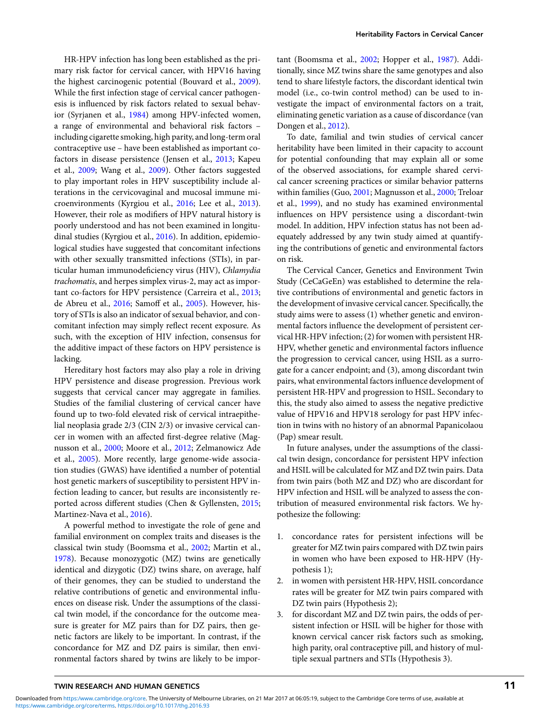HR-HPV infection has long been established as the primary risk factor for cervical cancer, with HPV16 having the highest carcinogenic potential (Bouvard et al., [2009\)](#page-6-0). While the first infection stage of cervical cancer pathogenesis is influenced by risk factors related to sexual behavior (Syrjanen et al., [1984\)](#page-8-0) among HPV-infected women, a range of environmental and behavioral risk factors – including cigarette smoking, high parity, and long-term oral contraceptive use – have been established as important cofactors in disease persistence (Jensen et al., [2013;](#page-7-0) Kapeu et al., [2009;](#page-7-0) Wang et al., [2009\)](#page-8-0). Other factors suggested to play important roles in HPV susceptibility include alterations in the cervicovaginal and mucosal immune microenvironments (Kyrgiou et al., [2016;](#page-7-0) Lee et al., [2013\)](#page-7-0). However, their role as modifiers of HPV natural history is poorly understood and has not been examined in longitudinal studies (Kyrgiou et al., [2016\)](#page-7-0). In addition, epidemiological studies have suggested that concomitant infections with other sexually transmitted infections (STIs), in particular human immunodeficiency virus (HIV), *Chlamydia trachomatis*, and herpes simplex virus-2, may act as important co-factors for HPV persistence (Carreira et al., [2013;](#page-6-0) de Abreu et al., [2016;](#page-7-0) Samoff et al., [2005\)](#page-7-0). However, history of STIs is also an indicator of sexual behavior, and concomitant infection may simply reflect recent exposure. As such, with the exception of HIV infection, consensus for the additive impact of these factors on HPV persistence is lacking.

Hereditary host factors may also play a role in driving HPV persistence and disease progression. Previous work suggests that cervical cancer may aggregate in families. Studies of the familial clustering of cervical cancer have found up to two-fold elevated risk of cervical intraepithelial neoplasia grade 2/3 (CIN 2/3) or invasive cervical cancer in women with an affected first-degree relative (Magnusson et al., [2000;](#page-7-0) Moore et al., [2012;](#page-7-0) Zelmanowicz Ade et al., [2005\)](#page-8-0). More recently, large genome-wide association studies (GWAS) have identified a number of potential host genetic markers of susceptibility to persistent HPV infection leading to cancer, but results are inconsistently reported across different studies (Chen & Gyllensten, [2015;](#page-6-0) Martinez-Nava et al., [2016\)](#page-7-0).

A powerful method to investigate the role of gene and familial environment on complex traits and diseases is the classical twin study (Boomsma et al., [2002;](#page-6-0) Martin et al., [1978\)](#page-7-0). Because monozygotic (MZ) twins are genetically identical and dizygotic (DZ) twins share, on average, half of their genomes, they can be studied to understand the relative contributions of genetic and environmental influences on disease risk. Under the assumptions of the classical twin model, if the concordance for the outcome measure is greater for MZ pairs than for DZ pairs, then genetic factors are likely to be important. In contrast, if the concordance for MZ and DZ pairs is similar, then environmental factors shared by twins are likely to be important (Boomsma et al., [2002;](#page-6-0) Hopper et al., [1987\)](#page-7-0). Additionally, since MZ twins share the same genotypes and also tend to share lifestyle factors, the discordant identical twin model (i.e., co-twin control method) can be used to investigate the impact of environmental factors on a trait, eliminating genetic variation as a cause of discordance (van Dongen et al., [2012\)](#page-8-0).

To date, familial and twin studies of cervical cancer heritability have been limited in their capacity to account for potential confounding that may explain all or some of the observed associations, for example shared cervical cancer screening practices or similar behavior patterns within families (Guo, [2001;](#page-7-0) Magnusson et al., [2000;](#page-7-0) Treloar et al., [1999\)](#page-8-0), and no study has examined environmental influences on HPV persistence using a discordant-twin model. In addition, HPV infection status has not been adequately addressed by any twin study aimed at quantifying the contributions of genetic and environmental factors on risk.

The Cervical Cancer, Genetics and Environment Twin Study (CeCaGeEn) was established to determine the relative contributions of environmental and genetic factors in the development of invasive cervical cancer. Specifically, the study aims were to assess (1) whether genetic and environmental factors influence the development of persistent cervical HR-HPV infection; (2) for women with persistent HR-HPV, whether genetic and environmental factors influence the progression to cervical cancer, using HSIL as a surrogate for a cancer endpoint; and (3), among discordant twin pairs, what environmental factors influence development of persistent HR-HPV and progression to HSIL. Secondary to this, the study also aimed to assess the negative predictive value of HPV16 and HPV18 serology for past HPV infection in twins with no history of an abnormal Papanicolaou (Pap) smear result.

In future analyses, under the assumptions of the classical twin design, concordance for persistent HPV infection and HSIL will be calculated for MZ and DZ twin pairs. Data from twin pairs (both MZ and DZ) who are discordant for HPV infection and HSIL will be analyzed to assess the contribution of measured environmental risk factors. We hypothesize the following:

- 1. concordance rates for persistent infections will be greater for MZ twin pairs compared with DZ twin pairs in women who have been exposed to HR-HPV (Hypothesis 1);
- 2. in women with persistent HR-HPV, HSIL concordance rates will be greater for MZ twin pairs compared with DZ twin pairs (Hypothesis 2);
- 3. for discordant MZ and DZ twin pairs, the odds of persistent infection or HSIL will be higher for those with known cervical cancer risk factors such as smoking, high parity, oral contraceptive pill, and history of multiple sexual partners and STIs (Hypothesis 3).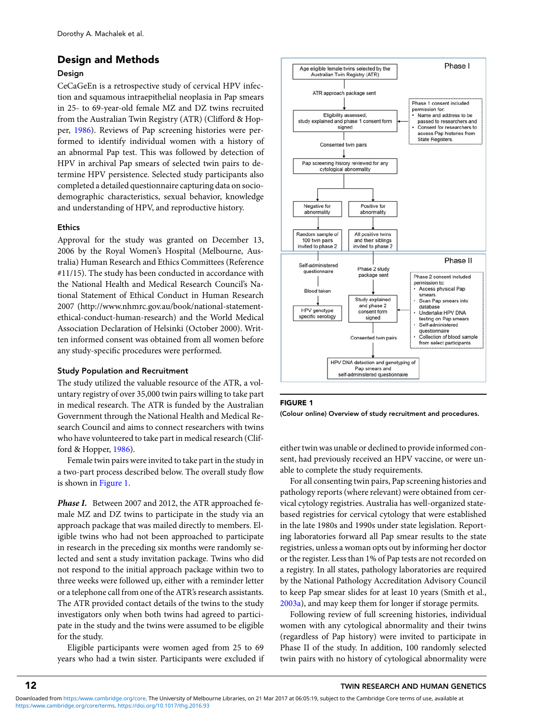# **Design and Methods**

#### **Design**

CeCaGeEn is a retrospective study of cervical HPV infection and squamous intraepithelial neoplasia in Pap smears in 25- to 69-year-old female MZ and DZ twins recruited from the Australian Twin Registry (ATR) (Clifford & Hopper, [1986\)](#page-6-0). Reviews of Pap screening histories were performed to identify individual women with a history of an abnormal Pap test. This was followed by detection of HPV in archival Pap smears of selected twin pairs to determine HPV persistence. Selected study participants also completed a detailed questionnaire capturing data on sociodemographic characteristics, sexual behavior, knowledge and understanding of HPV, and reproductive history.

#### **Ethics**

Approval for the study was granted on December 13, 2006 by the Royal Women's Hospital (Melbourne, Australia) Human Research and Ethics Committees (Reference #11/15). The study has been conducted in accordance with the National Health and Medical Research Council's National Statement of Ethical Conduct in Human Research 2007 (http://www.nhmrc.gov.au/book/national-statementethical-conduct-human-research) and the World Medical Association Declaration of Helsinki (October 2000). Written informed consent was obtained from all women before any study-specific procedures were performed.

#### **Study Population and Recruitment**

The study utilized the valuable resource of the ATR, a voluntary registry of over 35,000 twin pairs willing to take part in medical research. The ATR is funded by the Australian Government through the National Health and Medical Research Council and aims to connect researchers with twins who have volunteered to take part in medical research (Clifford & Hopper, [1986\)](#page-6-0).

Female twin pairs were invited to take part in the study in a two-part process described below. The overall study flow is shown in Figure 1.

**Phase I.** Between 2007 and 2012, the ATR approached female MZ and DZ twins to participate in the study via an approach package that was mailed directly to members. Eligible twins who had not been approached to participate in research in the preceding six months were randomly selected and sent a study invitation package. Twins who did not respond to the initial approach package within two to three weeks were followed up, either with a reminder letter or a telephone call from one of the ATR's research assistants. The ATR provided contact details of the twins to the study investigators only when both twins had agreed to participate in the study and the twins were assumed to be eligible for the study.

Eligible participants were women aged from 25 to 69 years who had a twin sister. Participants were excluded if





either twin was unable or declined to provide informed consent, had previously received an HPV vaccine, or were unable to complete the study requirements.

For all consenting twin pairs, Pap screening histories and pathology reports (where relevant) were obtained from cervical cytology registries. Australia has well-organized statebased registries for cervical cytology that were established in the late 1980s and 1990s under state legislation. Reporting laboratories forward all Pap smear results to the state registries, unless a woman opts out by informing her doctor or the register. Less than 1% of Pap tests are not recorded on a registry. In all states, pathology laboratories are required by the National Pathology Accreditation Advisory Council to keep Pap smear slides for at least 10 years (Smith et al., [2003a\)](#page-8-0), and may keep them for longer if storage permits.

Following review of full screening histories, individual women with any cytological abnormality and their twins (regardless of Pap history) were invited to participate in Phase II of the study. In addition, 100 randomly selected twin pairs with no history of cytological abnormality were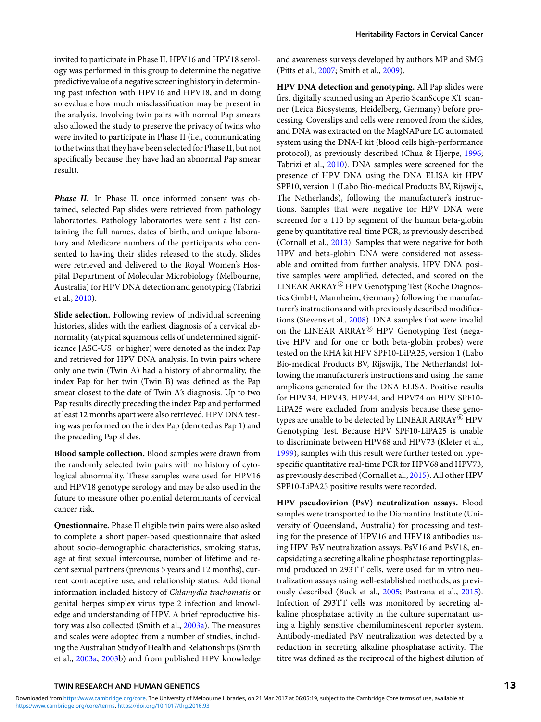invited to participate in Phase II. HPV16 and HPV18 serology was performed in this group to determine the negative predictive value of a negative screening history in determining past infection with HPV16 and HPV18, and in doing so evaluate how much misclassification may be present in the analysis. Involving twin pairs with normal Pap smears also allowed the study to preserve the privacy of twins who were invited to participate in Phase II (i.e., communicating to the twins that they have been selected for Phase II, but not specifically because they have had an abnormal Pap smear result).

*Phase II.* In Phase II, once informed consent was obtained, selected Pap slides were retrieved from pathology laboratories. Pathology laboratories were sent a list containing the full names, dates of birth, and unique laboratory and Medicare numbers of the participants who consented to having their slides released to the study. Slides were retrieved and delivered to the Royal Women's Hospital Department of Molecular Microbiology (Melbourne, Australia) for HPV DNA detection and genotyping (Tabrizi et al., [2010\)](#page-8-0).

**Slide selection.** Following review of individual screening histories, slides with the earliest diagnosis of a cervical abnormality (atypical squamous cells of undetermined significance [ASC-US] or higher) were denoted as the index Pap and retrieved for HPV DNA analysis. In twin pairs where only one twin (Twin A) had a history of abnormality, the index Pap for her twin (Twin B) was defined as the Pap smear closest to the date of Twin A's diagnosis. Up to two Pap results directly preceding the index Pap and performed at least 12 months apart were also retrieved. HPV DNA testing was performed on the index Pap (denoted as Pap 1) and the preceding Pap slides.

**Blood sample collection.** Blood samples were drawn from the randomly selected twin pairs with no history of cytological abnormality. These samples were used for HPV16 and HPV18 genotype serology and may be also used in the future to measure other potential determinants of cervical cancer risk.

**Questionnaire.** Phase II eligible twin pairs were also asked to complete a short paper-based questionnaire that asked about socio-demographic characteristics, smoking status, age at first sexual intercourse, number of lifetime and recent sexual partners (previous 5 years and 12 months), current contraceptive use, and relationship status. Additional information included history of *Chlamydia trachomatis* or genital herpes simplex virus type 2 infection and knowledge and understanding of HPV. A brief reproductive history was also collected (Smith et al., [2003a\)](#page-8-0). The measures and scales were adopted from a number of studies, including the Australian Study of Health and Relationships (Smith et al., [2003a,](#page-8-0) [2003b](#page-8-0)) and from published HPV knowledge and awareness surveys developed by authors MP and SMG (Pitts et al., [2007;](#page-7-0) Smith et al., [2009\)](#page-8-0).

**HPV DNA detection and genotyping.** All Pap slides were first digitally scanned using an Aperio ScanScope XT scanner (Leica Biosystems, Heidelberg, Germany) before processing. Coverslips and cells were removed from the slides, and DNA was extracted on the MagNAPure LC automated system using the DNA-I kit (blood cells high-performance protocol), as previously described (Chua & Hjerpe, [1996;](#page-6-0) Tabrizi et al., [2010\)](#page-8-0). DNA samples were screened for the presence of HPV DNA using the DNA ELISA kit HPV SPF10, version 1 (Labo Bio-medical Products BV, Rijswijk, The Netherlands), following the manufacturer's instructions. Samples that were negative for HPV DNA were screened for a 110 bp segment of the human beta-globin gene by quantitative real-time PCR, as previously described (Cornall et al., [2013\)](#page-6-0). Samples that were negative for both HPV and beta-globin DNA were considered not assessable and omitted from further analysis. HPV DNA positive samples were amplified, detected, and scored on the LINEAR ARRAY® HPV Genotyping Test (Roche Diagnostics GmbH, Mannheim, Germany) following the manufacturer's instructions and with previously described modifications (Stevens et al., [2008\)](#page-8-0). DNA samples that were invalid on the LINEAR ARRAY<sup>®</sup> HPV Genotyping Test (negative HPV and for one or both beta-globin probes) were tested on the RHA kit HPV SPF10-LiPA25, version 1 (Labo Bio-medical Products BV, Rijswijk, The Netherlands) following the manufacturer's instructions and using the same amplicons generated for the DNA ELISA. Positive results for HPV34, HPV43, HPV44, and HPV74 on HPV SPF10- LiPA25 were excluded from analysis because these genotypes are unable to be detected by LINEAR ARRAY<sup>®</sup> HPV Genotyping Test. Because HPV SPF10-LiPA25 is unable to discriminate between HPV68 and HPV73 (Kleter et al., [1999\)](#page-7-0), samples with this result were further tested on typespecific quantitative real-time PCR for HPV68 and HPV73, as previously described (Cornall et al., [2015\)](#page-6-0). All other HPV SPF10-LiPA25 positive results were recorded.

**HPV pseudovirion (PsV) neutralization assays.** Blood samples were transported to the Diamantina Institute (University of Queensland, Australia) for processing and testing for the presence of HPV16 and HPV18 antibodies using HPV PsV neutralization assays. PsV16 and PsV18, encapsidating a secreting alkaline phosphatase reporting plasmid produced in 293TT cells, were used for in vitro neutralization assays using well-established methods, as previously described (Buck et al., [2005;](#page-6-0) Pastrana et al., [2015\)](#page-7-0). Infection of 293TT cells was monitored by secreting alkaline phosphatase activity in the culture supernatant using a highly sensitive chemiluminescent reporter system. Antibody-mediated PsV neutralization was detected by a reduction in secreting alkaline phosphatase activity. The titre was defined as the reciprocal of the highest dilution of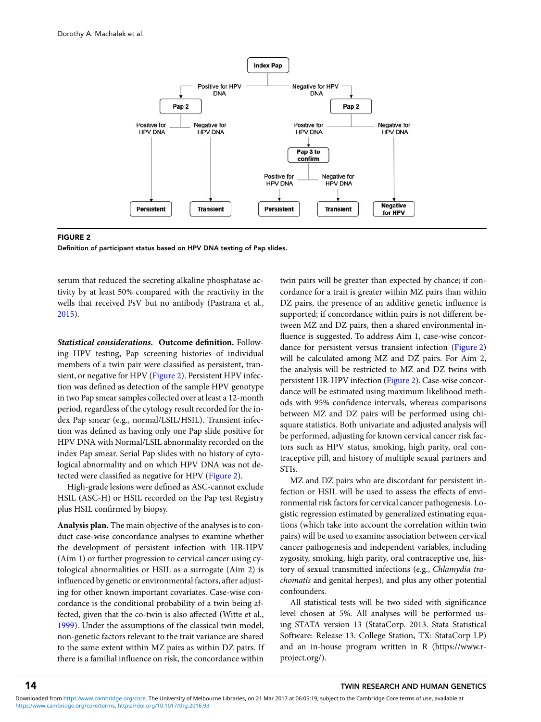

#### **FIGURE 2**

**Definition of participant status based on HPV DNA testing of Pap slides.**

serum that reduced the secreting alkaline phosphatase activity by at least 50% compared with the reactivity in the wells that received PsV but no antibody (Pastrana et al., [2015\)](#page-7-0).

*Statistical considerations.* **Outcome definition.** Following HPV testing, Pap screening histories of individual members of a twin pair were classified as persistent, transient, or negative for HPV (Figure 2). Persistent HPV infection was defined as detection of the sample HPV genotype in two Pap smear samples collected over at least a 12-month period, regardless of the cytology result recorded for the index Pap smear (e.g., normal/LSIL/HSIL). Transient infection was defined as having only one Pap slide positive for HPV DNA with Normal/LSIL abnormality recorded on the index Pap smear. Serial Pap slides with no history of cytological abnormality and on which HPV DNA was not detected were classified as negative for HPV (Figure 2).

High-grade lesions were defined as ASC-cannot exclude HSIL (ASC-H) or HSIL recorded on the Pap test Registry plus HSIL confirmed by biopsy.

**Analysis plan.** The main objective of the analyses is to conduct case-wise concordance analyses to examine whether the development of persistent infection with HR-HPV (Aim 1) or further progression to cervical cancer using cytological abnormalities or HSIL as a surrogate (Aim 2) is influenced by genetic or environmental factors, after adjusting for other known important covariates. Case-wise concordance is the conditional probability of a twin being affected, given that the co-twin is also affected (Witte et al., [1999\)](#page-8-0). Under the assumptions of the classical twin model, non-genetic factors relevant to the trait variance are shared to the same extent within MZ pairs as within DZ pairs. If there is a familial influence on risk, the concordance within twin pairs will be greater than expected by chance; if concordance for a trait is greater within MZ pairs than within DZ pairs, the presence of an additive genetic influence is supported; if concordance within pairs is not different between MZ and DZ pairs, then a shared environmental influence is suggested. To address Aim 1, case-wise concordance for persistent versus transient infection (Figure 2) will be calculated among MZ and DZ pairs. For Aim 2, the analysis will be restricted to MZ and DZ twins with persistent HR-HPV infection (Figure 2). Case-wise concordance will be estimated using maximum likelihood methods with 95% confidence intervals, whereas comparisons between MZ and DZ pairs will be performed using chisquare statistics. Both univariate and adjusted analysis will be performed, adjusting for known cervical cancer risk factors such as HPV status, smoking, high parity, oral contraceptive pill, and history of multiple sexual partners and STIs.

MZ and DZ pairs who are discordant for persistent infection or HSIL will be used to assess the effects of environmental risk factors for cervical cancer pathogenesis. Logistic regression estimated by generalized estimating equations (which take into account the correlation within twin pairs) will be used to examine association between cervical cancer pathogenesis and independent variables, including zygosity, smoking, high parity, oral contraceptive use, history of sexual transmitted infections (e.g., *Chlamydia trachomatis* and genital herpes), and plus any other potential confounders.

All statistical tests will be two sided with significance level chosen at 5%. All analyses will be performed using STATA version 13 (StataCorp. 2013. Stata Statistical Software: Release 13. College Station, TX: StataCorp LP) and an in-house program written in R (https://www.rproject.org/).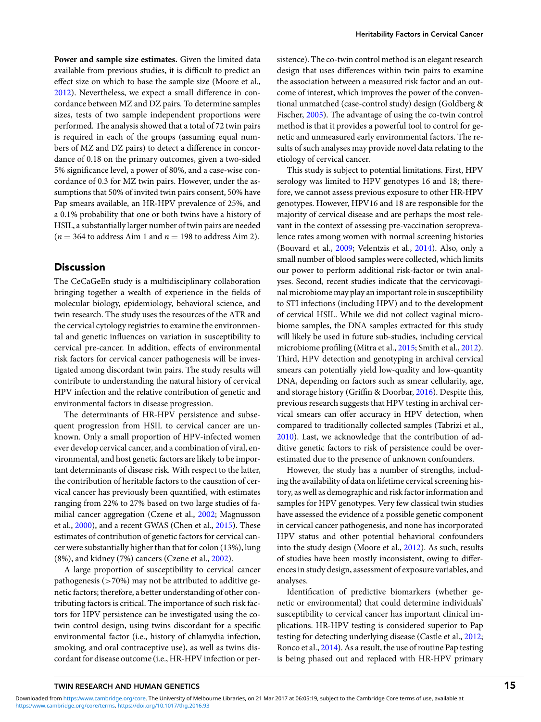**Power and sample size estimates.** Given the limited data available from previous studies, it is difficult to predict an effect size on which to base the sample size (Moore et al., [2012\)](#page-7-0). Nevertheless, we expect a small difference in concordance between MZ and DZ pairs. To determine samples sizes, tests of two sample independent proportions were performed. The analysis showed that a total of 72 twin pairs is required in each of the groups (assuming equal numbers of MZ and DZ pairs) to detect a difference in concordance of 0.18 on the primary outcomes, given a two-sided 5% significance level, a power of 80%, and a case-wise concordance of 0.3 for MZ twin pairs. However, under the assumptions that 50% of invited twin pairs consent, 50% have Pap smears available, an HR-HPV prevalence of 25%, and a 0.1% probability that one or both twins have a history of HSIL, a substantially larger number of twin pairs are needed  $(n = 364$  to address Aim 1 and  $n = 198$  to address Aim 2).

# **Discussion**

The CeCaGeEn study is a multidisciplinary collaboration bringing together a wealth of experience in the fields of molecular biology, epidemiology, behavioral science, and twin research. The study uses the resources of the ATR and the cervical cytology registries to examine the environmental and genetic influences on variation in susceptibility to cervical pre-cancer. In addition, effects of environmental risk factors for cervical cancer pathogenesis will be investigated among discordant twin pairs. The study results will contribute to understanding the natural history of cervical HPV infection and the relative contribution of genetic and environmental factors in disease progression.

The determinants of HR-HPV persistence and subsequent progression from HSIL to cervical cancer are unknown. Only a small proportion of HPV-infected women ever develop cervical cancer, and a combination of viral, environmental, and host genetic factors are likely to be important determinants of disease risk. With respect to the latter, the contribution of heritable factors to the causation of cervical cancer has previously been quantified, with estimates ranging from 22% to 27% based on two large studies of familial cancer aggregation (Czene et al., [2002;](#page-7-0) Magnusson et al., [2000\)](#page-7-0), and a recent GWAS (Chen et al., [2015\)](#page-6-0). These estimates of contribution of genetic factors for cervical cancer were substantially higher than that for colon (13%), lung (8%), and kidney (7%) cancers (Czene et al., [2002\)](#page-7-0).

A large proportion of susceptibility to cervical cancer pathogenesis ( $>70\%$ ) may not be attributed to additive genetic factors; therefore, a better understanding of other contributing factors is critical. The importance of such risk factors for HPV persistence can be investigated using the cotwin control design, using twins discordant for a specific environmental factor (i.e., history of chlamydia infection, smoking, and oral contraceptive use), as well as twins discordant for disease outcome (i.e., HR-HPV infection or per-

sistence). The co-twin control method is an elegant research design that uses differences within twin pairs to examine the association between a measured risk factor and an outcome of interest, which improves the power of the conventional unmatched (case-control study) design (Goldberg & Fischer, [2005\)](#page-7-0). The advantage of using the co-twin control method is that it provides a powerful tool to control for genetic and unmeasured early environmental factors. The results of such analyses may provide novel data relating to the etiology of cervical cancer.

This study is subject to potential limitations. First, HPV serology was limited to HPV genotypes 16 and 18; therefore, we cannot assess previous exposure to other HR-HPV genotypes. However, HPV16 and 18 are responsible for the majority of cervical disease and are perhaps the most relevant in the context of assessing pre-vaccination seroprevalence rates among women with normal screening histories (Bouvard et al., [2009;](#page-6-0) Velentzis et al., [2014\)](#page-8-0). Also, only a small number of blood samples were collected, which limits our power to perform additional risk-factor or twin analyses. Second, recent studies indicate that the cervicovaginal microbiome may play an important role in susceptibility to STI infections (including HPV) and to the development of cervical HSIL. While we did not collect vaginal microbiome samples, the DNA samples extracted for this study will likely be used in future sub-studies, including cervical microbiome profiling (Mitra et al., [2015;](#page-7-0) Smith et al., [2012\)](#page-8-0). Third, HPV detection and genotyping in archival cervical smears can potentially yield low-quality and low-quantity DNA, depending on factors such as smear cellularity, age, and storage history (Griffin & Doorbar, [2016\)](#page-7-0). Despite this, previous research suggests that HPV testing in archival cervical smears can offer accuracy in HPV detection, when compared to traditionally collected samples (Tabrizi et al., [2010\)](#page-8-0). Last, we acknowledge that the contribution of additive genetic factors to risk of persistence could be overestimated due to the presence of unknown confounders.

However, the study has a number of strengths, including the availability of data on lifetime cervical screening history, as well as demographic and risk factor information and samples for HPV genotypes. Very few classical twin studies have assessed the evidence of a possible genetic component in cervical cancer pathogenesis, and none has incorporated HPV status and other potential behavioral confounders into the study design (Moore et al., [2012\)](#page-7-0). As such, results of studies have been mostly inconsistent, owing to differences in study design, assessment of exposure variables, and analyses.

Identification of predictive biomarkers (whether genetic or environmental) that could determine individuals' susceptibility to cervical cancer has important clinical implications. HR-HPV testing is considered superior to Pap testing for detecting underlying disease (Castle et al., [2012;](#page-6-0) Ronco et al., [2014\)](#page-7-0). As a result, the use of routine Pap testing is being phased out and replaced with HR-HPV primary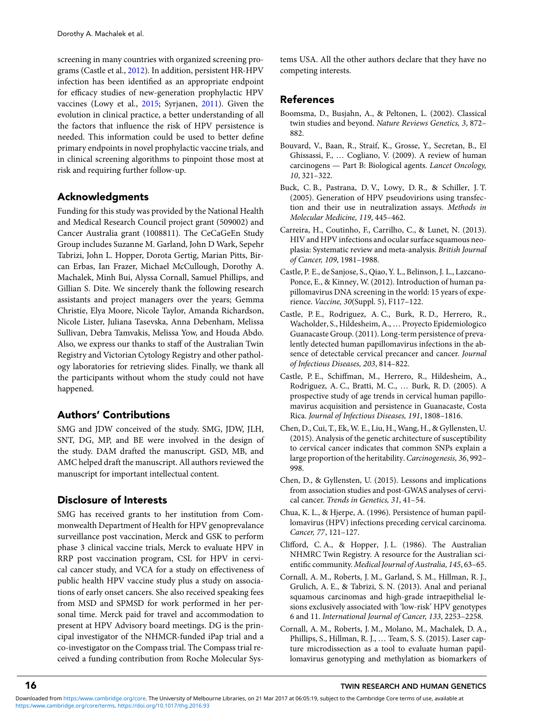<span id="page-6-0"></span>screening in many countries with organized screening programs (Castle et al., 2012). In addition, persistent HR-HPV infection has been identified as an appropriate endpoint for efficacy studies of new-generation prophylactic HPV vaccines (Lowy et al., [2015;](#page-7-0) Syrjanen, [2011\)](#page-8-0). Given the evolution in clinical practice, a better understanding of all the factors that influence the risk of HPV persistence is needed. This information could be used to better define primary endpoints in novel prophylactic vaccine trials, and in clinical screening algorithms to pinpoint those most at risk and requiring further follow-up.

## **Acknowledgments**

Funding for this study was provided by the National Health and Medical Research Council project grant (509002) and Cancer Australia grant (1008811). The CeCaGeEn Study Group includes Suzanne M. Garland, John D Wark, Sepehr Tabrizi, John L. Hopper, Dorota Gertig, Marian Pitts, Bircan Erbas, Ian Frazer, Michael McCullough, Dorothy A. Machalek, Minh Bui, Alyssa Cornall, Samuel Phillips, and Gillian S. Dite. We sincerely thank the following research assistants and project managers over the years; Gemma Christie, Elya Moore, Nicole Taylor, Amanda Richardson, Nicole Lister, Juliana Tasevska, Anna Debenham, Melissa Sullivan, Debra Tamvakis, Melissa Yow, and Houda Abdo. Also, we express our thanks to staff of the Australian Twin Registry and Victorian Cytology Registry and other pathology laboratories for retrieving slides. Finally, we thank all the participants without whom the study could not have happened.

# **Authors' Contributions**

SMG and JDW conceived of the study. SMG, JDW, JLH, SNT, DG, MP, and BE were involved in the design of the study. DAM drafted the manuscript. GSD, MB, and AMC helped draft the manuscript. All authors reviewed the manuscript for important intellectual content.

## **Disclosure of Interests**

SMG has received grants to her institution from Commonwealth Department of Health for HPV genoprevalance surveillance post vaccination, Merck and GSK to perform phase 3 clinical vaccine trials, Merck to evaluate HPV in RRP post vaccination program, CSL for HPV in cervical cancer study, and VCA for a study on effectiveness of public health HPV vaccine study plus a study on associations of early onset cancers. She also received speaking fees from MSD and SPMSD for work performed in her personal time. Merck paid for travel and accommodation to present at HPV Advisory board meetings. DG is the principal investigator of the NHMCR-funded iPap trial and a co-investigator on the Compass trial. The Compass trial received a funding contribution from Roche Molecular Systems USA. All the other authors declare that they have no competing interests.

## **References**

- Boomsma, D., Busjahn, A., & Peltonen, L. (2002). Classical twin studies and beyond. *Nature Reviews Genetics, 3*, 872– 882.
- Bouvard, V., Baan, R., Straif, K., Grosse, Y., Secretan, B., El Ghissassi, F., … Cogliano, V. (2009). A review of human carcinogens — Part B: Biological agents. *Lancet Oncology, 10*, 321–322.
- Buck, C. B., Pastrana, D. V., Lowy, D. R., & Schiller, J. T. (2005). Generation of HPV pseudovirions using transfection and their use in neutralization assays. *Methods in Molecular Medicine, 119*, 445–462.
- Carreira, H., Coutinho, F., Carrilho, C., & Lunet, N. (2013). HIV and HPV infections and ocular surface squamous neoplasia: Systematic review and meta-analysis. *British Journal of Cancer, 109*, 1981–1988.
- Castle, P. E., de Sanjose, S., Qiao, Y. L., Belinson, J. L., Lazcano-Ponce, E., & Kinney, W. (2012). Introduction of human papillomavirus DNA screening in the world: 15 years of experience. *Vaccine, 30*(Suppl. 5), F117–122.
- Castle, P. E., Rodriguez, A. C., Burk, R. D., Herrero, R., Wacholder, S., Hildesheim, A., … Proyecto Epidemiologico Guanacaste Group. (2011). Long-term persistence of prevalently detected human papillomavirus infections in the absence of detectable cervical precancer and cancer. *Journal of Infectious Diseases, 203*, 814–822.
- Castle, P. E., Schiffman, M., Herrero, R., Hildesheim, A., Rodriguez, A. C., Bratti, M. C., … Burk, R. D. (2005). A prospective study of age trends in cervical human papillomavirus acquisition and persistence in Guanacaste, Costa Rica. *Journal of Infectious Diseases, 191*, 1808–1816.
- Chen, D., Cui, T., Ek, W. E., Liu, H., Wang, H., & Gyllensten, U. (2015). Analysis of the genetic architecture of susceptibility to cervical cancer indicates that common SNPs explain a large proportion of the heritability. *Carcinogenesis, 36*, 992– 998.
- Chen, D., & Gyllensten, U. (2015). Lessons and implications from association studies and post-GWAS analyses of cervical cancer. *Trends in Genetics, 31*, 41–54.
- Chua, K. L., & Hjerpe, A. (1996). Persistence of human papillomavirus (HPV) infections preceding cervical carcinoma. *Cancer, 77*, 121–127.
- Clifford, C. A., & Hopper, J. L. (1986). The Australian NHMRC Twin Registry. A resource for the Australian scientific community. *Medical Journal of Australia, 145*, 63–65.
- Cornall, A. M., Roberts, J. M., Garland, S. M., Hillman, R. J., Grulich, A. E., & Tabrizi, S. N. (2013). Anal and perianal squamous carcinomas and high-grade intraepithelial lesions exclusively associated with 'low-risk' HPV genotypes 6 and 11. *International Journal of Cancer, 133*, 2253–2258.
- Cornall, A. M., Roberts, J. M., Molano, M., Machalek, D. A., Phillips, S., Hillman, R. J., … Team, S. S. (2015). Laser capture microdissection as a tool to evaluate human papillomavirus genotyping and methylation as biomarkers of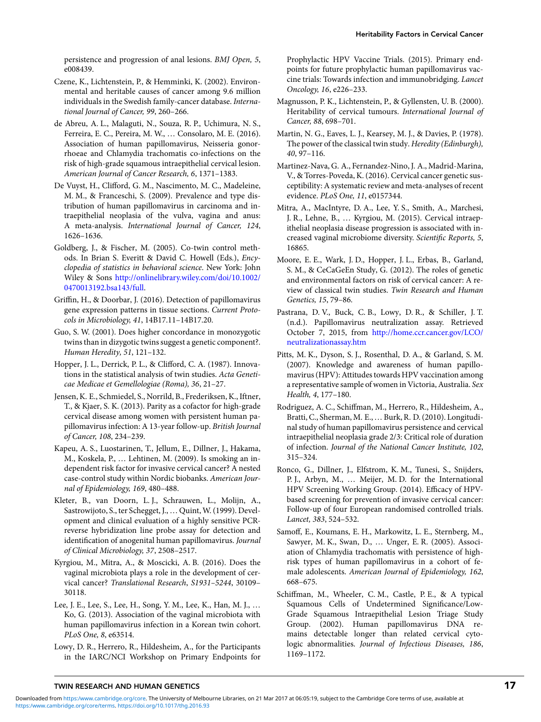<span id="page-7-0"></span>persistence and progression of anal lesions. *BMJ Open, 5*, e008439.

- Czene, K., Lichtenstein, P., & Hemminki, K. (2002). Environmental and heritable causes of cancer among 9.6 million individuals in the Swedish family-cancer database. *International Journal of Cancer, 99*, 260–266.
- de Abreu, A. L., Malaguti, N., Souza, R. P., Uchimura, N. S., Ferreira, E. C., Pereira, M. W., … Consolaro, M. E. (2016). Association of human papillomavirus, Neisseria gonorrhoeae and Chlamydia trachomatis co-infections on the risk of high-grade squamous intraepithelial cervical lesion. *American Journal of Cancer Research, 6*, 1371–1383.
- De Vuyst, H., Clifford, G. M., Nascimento, M. C., Madeleine, M. M., & Franceschi, S. (2009). Prevalence and type distribution of human papillomavirus in carcinoma and intraepithelial neoplasia of the vulva, vagina and anus: A meta-analysis. *International Journal of Cancer, 124*, 1626–1636.
- Goldberg, J., & Fischer, M. (2005). Co-twin control methods. In Brian S. Everitt & David C. Howell (Eds.), *Encyclopedia of statistics in behavioral science*. New York: John Wiley & Sons [http://onlinelibrary.wiley.com/doi/10.1002/](http://onlinelibrary.wiley.com/doi/10.1002/0470013192.bsa143/full) 0470013192.bsa143/full.
- Griffin, H., & Doorbar, J. (2016). Detection of papillomavirus gene expression patterns in tissue sections. *Current Protocols in Microbiology, 41*, 14B17.11–14B17.20.
- Guo, S. W. (2001). Does higher concordance in monozygotic twins than in dizygotic twins suggest a genetic component?. *Human Heredity, 51*, 121–132.
- Hopper, J. L., Derrick, P. L., & Clifford, C. A. (1987). Innovations in the statistical analysis of twin studies. *Acta Geneticae Medicae et Gemellologiae (Roma), 36*, 21–27.
- Jensen, K. E., Schmiedel, S., Norrild, B., Frederiksen, K., Iftner, T., & Kjaer, S. K. (2013). Parity as a cofactor for high-grade cervical disease among women with persistent human papillomavirus infection: A 13-year follow-up. *British Journal of Cancer, 108*, 234–239.
- Kapeu, A. S., Luostarinen, T., Jellum, E., Dillner, J., Hakama, M., Koskela, P., … Lehtinen, M. (2009). Is smoking an independent risk factor for invasive cervical cancer? A nested case-control study within Nordic biobanks. *American Journal of Epidemiology, 169*, 480–488.
- Kleter, B., van Doorn, L. J., Schrauwen, L., Molijn, A., Sastrowijoto, S., ter Schegget, J., … Quint, W. (1999). Development and clinical evaluation of a highly sensitive PCRreverse hybridization line probe assay for detection and identification of anogenital human papillomavirus. *Journal of Clinical Microbiology, 37*, 2508–2517.
- Kyrgiou, M., Mitra, A., & Moscicki, A. B. (2016). Does the vaginal microbiota plays a role in the development of cervical cancer? *Translational Research*, *S1931–5244*, 30109– 30118.
- Lee, J. E., Lee, S., Lee, H., Song, Y. M., Lee, K., Han, M. J., … Ko, G. (2013). Association of the vaginal microbiota with human papillomavirus infection in a Korean twin cohort. *PLoS One, 8*, e63514.
- Lowy, D. R., Herrero, R., Hildesheim, A., for the Participants in the IARC/NCI Workshop on Primary Endpoints for

Prophylactic HPV Vaccine Trials. (2015). Primary endpoints for future prophylactic human papillomavirus vaccine trials: Towards infection and immunobridging. *Lancet Oncology, 16*, e226–233.

- Magnusson, P. K., Lichtenstein, P., & Gyllensten, U. B. (2000). Heritability of cervical tumours. *International Journal of Cancer, 88*, 698–701.
- Martin, N. G., Eaves, L. J., Kearsey, M. J., & Davies, P. (1978). The power of the classical twin study. *Heredity (Edinburgh), 40*, 97–116.
- Martinez-Nava, G. A., Fernandez-Nino, J. A., Madrid-Marina, V., & Torres-Poveda, K. (2016). Cervical cancer genetic susceptibility: A systematic review and meta-analyses of recent evidence. *PLoS One, 11*, e0157344.
- Mitra, A., MacIntyre, D. A., Lee, Y. S., Smith, A., Marchesi, J. R., Lehne, B., … Kyrgiou, M. (2015). Cervical intraepithelial neoplasia disease progression is associated with increased vaginal microbiome diversity. *Scientific Reports, 5*, 16865.
- Moore, E. E., Wark, J. D., Hopper, J. L., Erbas, B., Garland, S. M., & CeCaGeEn Study, G. (2012). The roles of genetic and environmental factors on risk of cervical cancer: A review of classical twin studies. *Twin Research and Human Genetics, 15*, 79–86.
- Pastrana, D. V., Buck, C. B., Lowy, D. R., & Schiller, J. T. (n.d.). Papillomavirus neutralization assay. Retrieved October 7, 2015, from [http://home.ccr.cancer.gov/LCO/](http://home.ccr.cancer.gov/LCO/neutralizationassay.htm) neutralizationassay.htm
- Pitts, M. K., Dyson, S. J., Rosenthal, D. A., & Garland, S. M. (2007). Knowledge and awareness of human papillomavirus (HPV): Attitudes towards HPV vaccination among a representative sample of women in Victoria, Australia. *Sex Health, 4*, 177–180.
- Rodriguez, A. C., Schiffman, M., Herrero, R., Hildesheim, A., Bratti, C., Sherman, M. E.,… Burk, R. D. (2010). Longitudinal study of human papillomavirus persistence and cervical intraepithelial neoplasia grade 2/3: Critical role of duration of infection. *Journal of the National Cancer Institute, 102*, 315–324.
- Ronco, G., Dillner, J., Elfstrom, K. M., Tunesi, S., Snijders, P. J., Arbyn, M., … Meijer, M. D. for the International HPV Screening Working Group. (2014). Efficacy of HPVbased screening for prevention of invasive cervical cancer: Follow-up of four European randomised controlled trials. *Lancet, 383*, 524–532.
- Samoff, E., Koumans, E. H., Markowitz, L. E., Sternberg, M., Sawyer, M. K., Swan, D., … Unger, E. R. (2005). Association of Chlamydia trachomatis with persistence of highrisk types of human papillomavirus in a cohort of female adolescents. *American Journal of Epidemiology, 162*, 668–675.
- Schiffman, M., Wheeler, C. M., Castle, P. E., & A typical Squamous Cells of Undetermined Significance/Low-Grade Squamous Intraepithelial Lesion Triage Study Group. (2002). Human papillomavirus DNA remains detectable longer than related cervical cytologic abnormalities. *Journal of Infectious Diseases, 186*, 1169–1172.